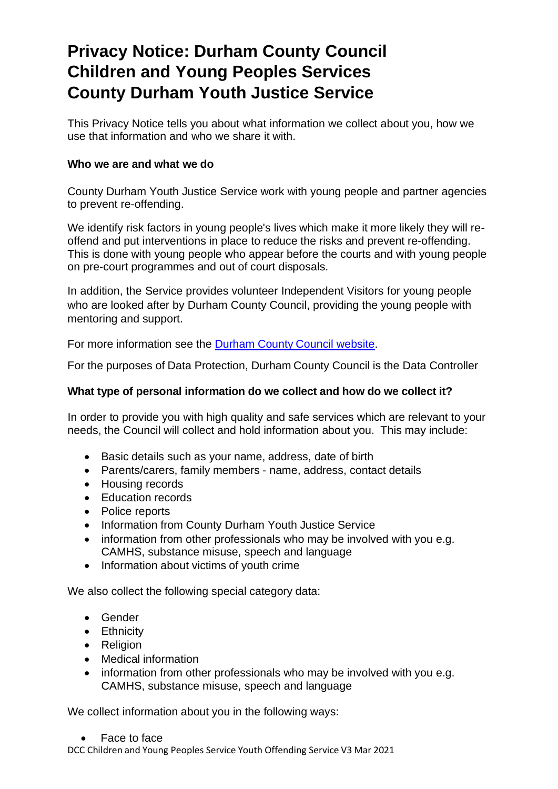# **Privacy Notice: Durham County Council Children and Young Peoples Services County Durham Youth Justice Service**

This Privacy Notice tells you about what information we collect about you, how we use that information and who we share it with.

# **Who we are and what we do**

County Durham Youth Justice Service work with young people and partner agencies to prevent re-offending.

We identify risk factors in young people's lives which make it more likely they will reoffend and put interventions in place to reduce the risks and prevent re-offending. This is done with young people who appear before the courts and with young people on pre-court programmes and out of court disposals.

In addition, the Service provides volunteer Independent Visitors for young people who are looked after by Durham County Council, providing the young people with mentoring and support.

For more information see the Durham County Council [website.](http://www.durham.gov.uk/CDYOS)

For the purposes of Data Protection, Durham County Council is the Data Controller

# **What type of personal information do we collect and how do we collect it?**

In order to provide you with high quality and safe services which are relevant to your needs, the Council will collect and hold information about you. This may include:

- Basic details such as your name, address, date of birth
- Parents/carers, family members name, address, contact details
- Housing records
- Education records
- Police reports
- Information from County Durham Youth Justice Service
- information from other professionals who may be involved with you e.g. CAMHS, substance misuse, speech and language
- Information about victims of youth crime

We also collect the following special category data:

- Gender
- Ethnicity
- Religion
- Medical information
- information from other professionals who may be involved with you e.g. CAMHS, substance misuse, speech and language

We collect information about you in the following ways:

• Face to face

DCC Children and Young Peoples Service Youth Offending Service V3 Mar 2021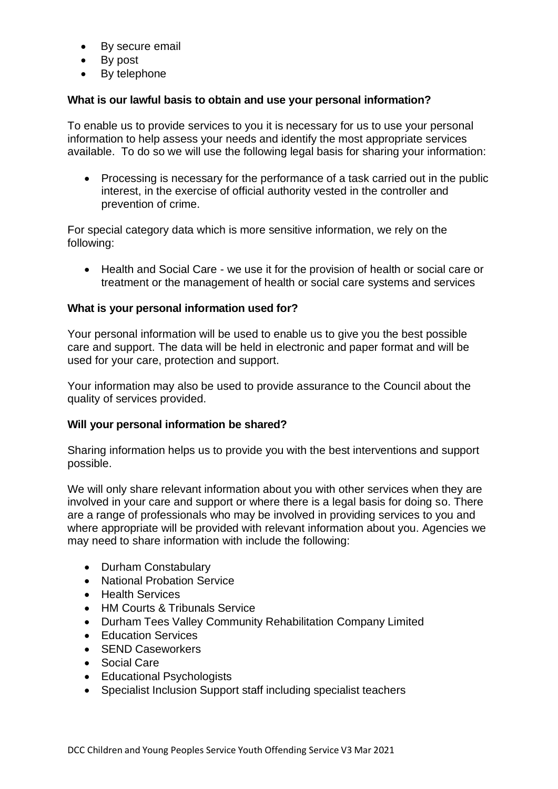- By secure email
- By post
- By telephone

# **What is our lawful basis to obtain and use your personal information?**

To enable us to provide services to you it is necessary for us to use your personal information to help assess your needs and identify the most appropriate services available. To do so we will use the following legal basis for sharing your information:

• Processing is necessary for the performance of a task carried out in the public interest, in the exercise of official authority vested in the controller and prevention of crime.

For special category data which is more sensitive information, we rely on the following:

• Health and Social Care - we use it for the provision of health or social care or treatment or the management of health or social care systems and services

## **What is your personal information used for?**

Your personal information will be used to enable us to give you the best possible care and support. The data will be held in electronic and paper format and will be used for your care, protection and support.

Your information may also be used to provide assurance to the Council about the quality of services provided.

## **Will your personal information be shared?**

Sharing information helps us to provide you with the best interventions and support possible.

We will only share relevant information about you with other services when they are involved in your care and support or where there is a legal basis for doing so. There are a range of professionals who may be involved in providing services to you and where appropriate will be provided with relevant information about you. Agencies we may need to share information with include the following:

- Durham Constabulary
- National Probation Service
- Health Services
- HM Courts & Tribunals Service
- Durham Tees Valley Community Rehabilitation Company Limited
- Education Services
- **SEND Caseworkers**
- Social Care
- Educational Psychologists
- Specialist Inclusion Support staff including specialist teachers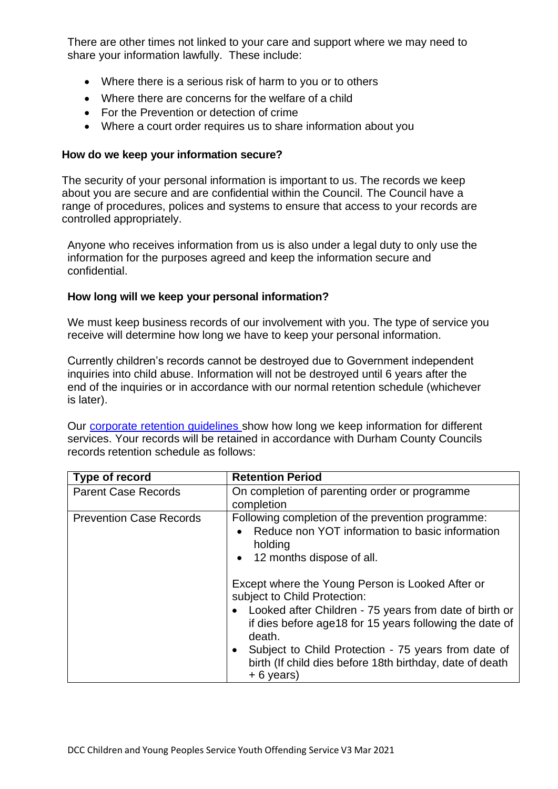There are other times not linked to your care and support where we may need to share your information lawfully. These include:

- Where there is a serious risk of harm to you or to others
- Where there are concerns for the welfare of a child
- For the Prevention or detection of crime
- Where a court order requires us to share information about you

## **How do we keep your information secure?**

The security of your personal information is important to us. The records we keep about you are secure and are confidential within the Council. The Council have a range of procedures, polices and systems to ensure that access to your records are controlled appropriately.

Anyone who receives information from us is also under a legal duty to only use the information for the purposes agreed and keep the information secure and confidential.

## **How long will we keep your personal information?**

We must keep business records of our involvement with you. The type of service you receive will determine how long we have to keep your personal information.

Currently children's records cannot be destroyed due to Government independent inquiries into child abuse. Information will not be destroyed until 6 years after the end of the inquiries or in accordance with our normal retention schedule (whichever is later).

Our [corporate retention guidelines s](http://www.durham.gov.uk/dataprivacy)how how long we keep information for different services. Your records will be retained in accordance with Durham County Councils records retention schedule as follows:

| Type of record                 | <b>Retention Period</b>                                                                                                                                                                                                      |
|--------------------------------|------------------------------------------------------------------------------------------------------------------------------------------------------------------------------------------------------------------------------|
| <b>Parent Case Records</b>     | On completion of parenting order or programme<br>completion                                                                                                                                                                  |
| <b>Prevention Case Records</b> | Following completion of the prevention programme:<br>Reduce non YOT information to basic information<br>holding<br>12 months dispose of all.<br>$\bullet$                                                                    |
|                                | Except where the Young Person is Looked After or<br>subject to Child Protection:<br>Looked after Children - 75 years from date of birth or<br>$\bullet$<br>if dies before age18 for 15 years following the date of<br>death. |
|                                | Subject to Child Protection - 75 years from date of<br>$\bullet$<br>birth (If child dies before 18th birthday, date of death<br>$+6$ years)                                                                                  |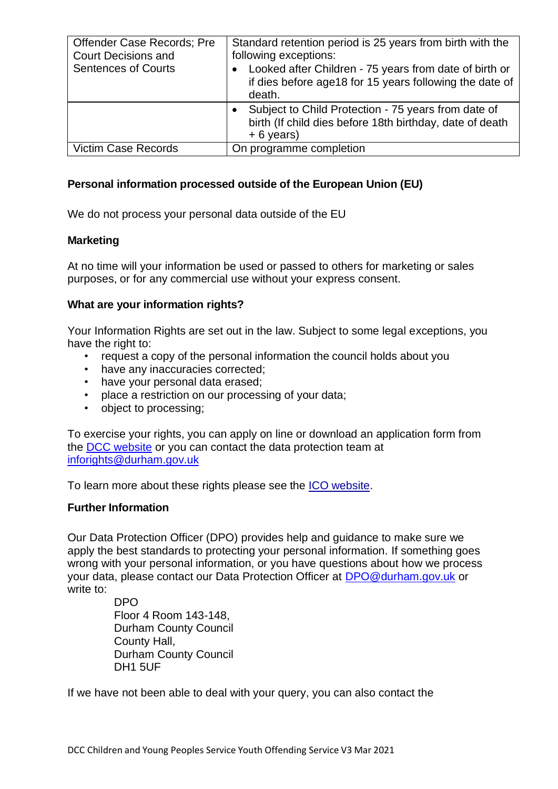| <b>Offender Case Records: Pre</b><br><b>Court Decisions and</b><br><b>Sentences of Courts</b> | Standard retention period is 25 years from birth with the<br>following exceptions:<br>Looked after Children - 75 years from date of birth or<br>$\bullet$<br>if dies before age18 for 15 years following the date of<br>death. |
|-----------------------------------------------------------------------------------------------|--------------------------------------------------------------------------------------------------------------------------------------------------------------------------------------------------------------------------------|
|                                                                                               | Subject to Child Protection - 75 years from date of<br>birth (If child dies before 18th birthday, date of death<br>$+ 6$ years)                                                                                                |
| <b>Victim Case Records</b>                                                                    | On programme completion                                                                                                                                                                                                        |

# **Personal information processed outside of the European Union (EU)**

We do not process your personal data outside of the EU

## **Marketing**

At no time will your information be used or passed to others for marketing or sales purposes, or for any commercial use without your express consent.

## **What are your information rights?**

Your Information Rights are set out in the law. Subject to some legal exceptions, you have the right to:

- request a copy of the personal information the council holds about you
- have any inaccuracies corrected;
- have your personal data erased;
- place a restriction on our processing of your data;
- object to processing;

To exercise your rights, you can apply on line or download an application form from the [DCC website](https://www.durham.gov.uk/article/2213/Data-Protection-Freedom-of-Information) or you can contact the data protection team at [inforights@durham.gov.uk](mailto:inforights@durham.gov.uk)

To learn more about these rights please see the ICO [website.](https://ico.org.uk/for-organisations/guide-to-the-general-data-protection-regulation-gdpr/individual-rights/)

# **Further Information**

Our Data Protection Officer (DPO) provides help and guidance to make sure we apply the best standards to protecting your personal information. If something goes wrong with your personal information, or you have questions about how we process your data, please contact our Data Protection Officer at [DPO@durham.gov.uk](mailto:DPO@durham.gov.uk) or write to:

> DPO Floor 4 Room 143-148, Durham County Council County Hall, Durham County Council DH1 5UF

If we have not been able to deal with your query, you can also contact the